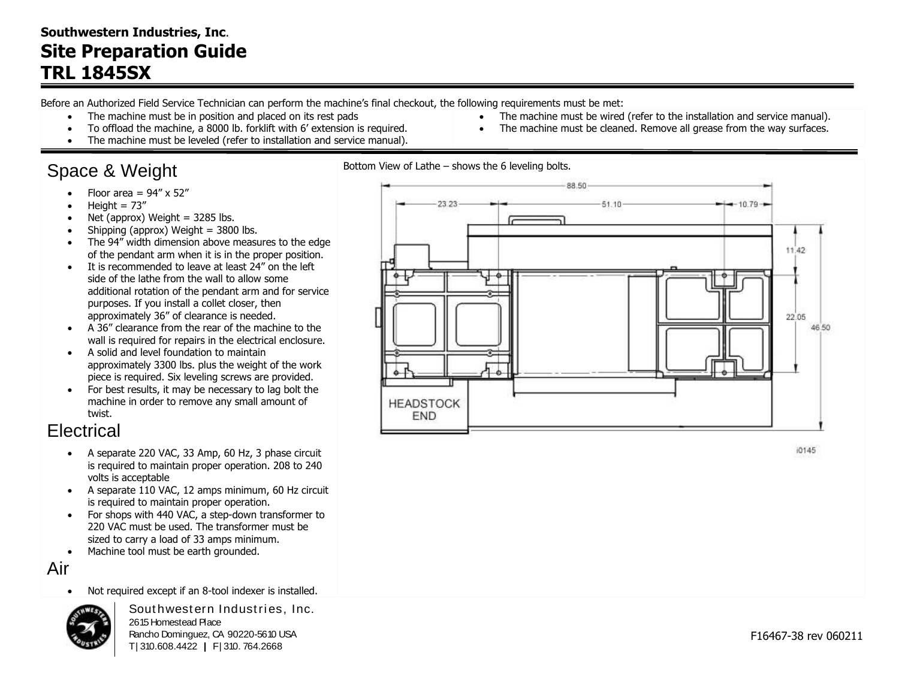#### **Southwestern Industries, Inc**. **Site Preparation Guide TRL 1845SX**

Before an Authorized Field Service Technician can perform the machine's final checkout, the following requirements must be met:

- The machine must be in position and placed on its rest pads
- To offload the machine, a 8000 lb. forklift with 6' extension is required.
- The machine must be leveled (refer to installation and service manual).

# Space & Weight

- Floor area  $= 94'' \times 52''$
- Height =  $73''$
- Net (approx) Weight  $=$  3285 lbs.
- $\bullet$  Shipping (approx) Weight = 3800 lbs.
- The 94" width dimension above measures to the edge of the pendant arm when it is in the proper position.
- It is recommended to leave at least 24" on the left side of the lathe from the wall to allow some additional rotation of the pendant arm and for service purposes. If you install a collet closer, then approximately 36" of clearance is needed.
- A 36" clearance from the rear of the machine to the wall is required for repairs in the electrical enclosure.
- A solid and level foundation to maintain approximately 3300 lbs. plus the weight of the work piece is required. Six leveling screws are provided.
- For best results, it may be necessary to lag bolt the machine in order to remove any small amount of twist.

### **Electrical**

- A separate 220 VAC, 33 Amp, 60 Hz, 3 phase circuit is required to maintain proper operation. 208 to 240 volts is acceptable
- A separate 110 VAC, 12 amps minimum, 60 Hz circuit is required to maintain proper operation.
- For shops with 440 VAC, a step-down transformer to 220 VAC must be used. The transformer must be sized to carry a load of 33 amps minimum.
- Machine tool must be earth grounded.

Air



Not required except if an 8-tool indexer is installed.<br>Southwestern Industries, Inc. 2615 Homestead Place Rancho Dominguez, CA 90220-5610 USA T | 310.608.4422 **|** F | 310. 764.2668





 The machine must be wired (refer to the installation and service manual). The machine must be cleaned. Remove all grease from the way surfaces.

10145